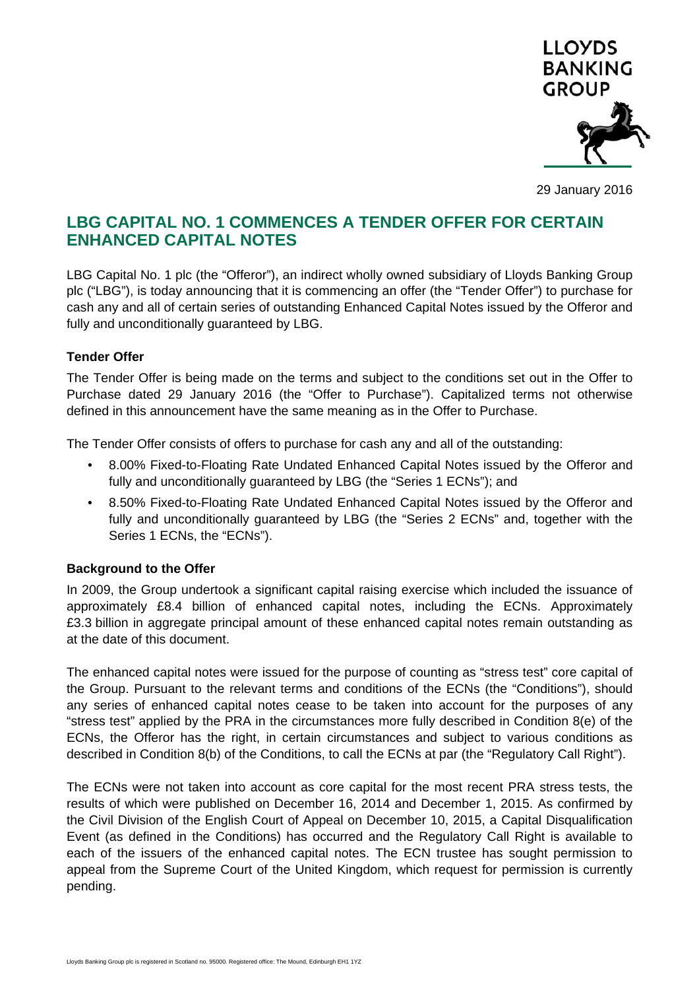

29 January 2016

# **LBG CAPITAL NO. 1 COMMENCES A TENDER OFFER FOR CERTAIN ENHANCED CAPITAL NOTES**

LBG Capital No. 1 plc (the "Offeror"), an indirect wholly owned subsidiary of Lloyds Banking Group plc ("LBG"), is today announcing that it is commencing an offer (the "Tender Offer") to purchase for cash any and all of certain series of outstanding Enhanced Capital Notes issued by the Offeror and fully and unconditionally guaranteed by LBG.

# **Tender Offer**

The Tender Offer is being made on the terms and subject to the conditions set out in the Offer to Purchase dated 29 January 2016 (the "Offer to Purchase"). Capitalized terms not otherwise defined in this announcement have the same meaning as in the Offer to Purchase.

The Tender Offer consists of offers to purchase for cash any and all of the outstanding:

- 8.00% Fixed-to-Floating Rate Undated Enhanced Capital Notes issued by the Offeror and fully and unconditionally guaranteed by LBG (the "Series 1 ECNs"); and
- 8.50% Fixed-to-Floating Rate Undated Enhanced Capital Notes issued by the Offeror and fully and unconditionally guaranteed by LBG (the "Series 2 ECNs" and, together with the Series 1 ECNs, the "ECNs").

# **Background to the Offer**

In 2009, the Group undertook a significant capital raising exercise which included the issuance of approximately £8.4 billion of enhanced capital notes, including the ECNs. Approximately £3.3 billion in aggregate principal amount of these enhanced capital notes remain outstanding as at the date of this document.

The enhanced capital notes were issued for the purpose of counting as "stress test" core capital of the Group. Pursuant to the relevant terms and conditions of the ECNs (the "Conditions"), should any series of enhanced capital notes cease to be taken into account for the purposes of any "stress test" applied by the PRA in the circumstances more fully described in Condition 8(e) of the ECNs, the Offeror has the right, in certain circumstances and subject to various conditions as described in Condition 8(b) of the Conditions, to call the ECNs at par (the "Regulatory Call Right").

The ECNs were not taken into account as core capital for the most recent PRA stress tests, the results of which were published on December 16, 2014 and December 1, 2015. As confirmed by the Civil Division of the English Court of Appeal on December 10, 2015, a Capital Disqualification Event (as defined in the Conditions) has occurred and the Regulatory Call Right is available to each of the issuers of the enhanced capital notes. The ECN trustee has sought permission to appeal from the Supreme Court of the United Kingdom, which request for permission is currently pending.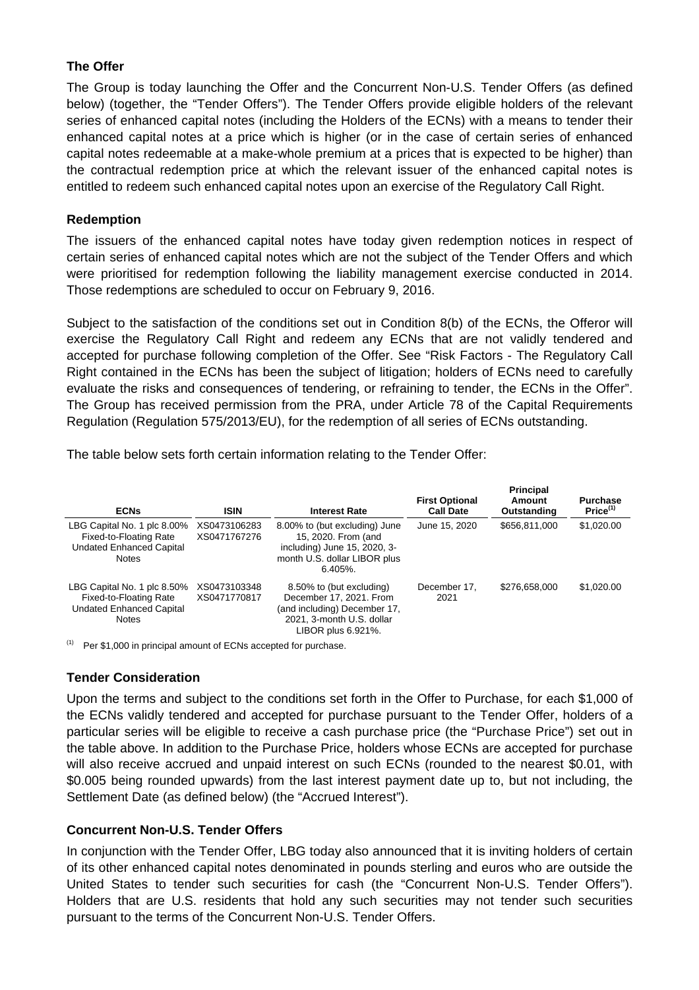# **The Offer**

The Group is today launching the Offer and the Concurrent Non-U.S. Tender Offers (as defined below) (together, the "Tender Offers"). The Tender Offers provide eligible holders of the relevant series of enhanced capital notes (including the Holders of the ECNs) with a means to tender their enhanced capital notes at a price which is higher (or in the case of certain series of enhanced capital notes redeemable at a make-whole premium at a prices that is expected to be higher) than the contractual redemption price at which the relevant issuer of the enhanced capital notes is entitled to redeem such enhanced capital notes upon an exercise of the Regulatory Call Right.

# **Redemption**

The issuers of the enhanced capital notes have today given redemption notices in respect of certain series of enhanced capital notes which are not the subject of the Tender Offers and which were prioritised for redemption following the liability management exercise conducted in 2014. Those redemptions are scheduled to occur on February 9, 2016.

Subject to the satisfaction of the conditions set out in Condition 8(b) of the ECNs, the Offeror will exercise the Regulatory Call Right and redeem any ECNs that are not validly tendered and accepted for purchase following completion of the Offer. See "Risk Factors - The Regulatory Call Right contained in the ECNs has been the subject of litigation; holders of ECNs need to carefully evaluate the risks and consequences of tendering, or refraining to tender, the ECNs in the Offer". The Group has received permission from the PRA, under Article 78 of the Capital Requirements Regulation (Regulation 575/2013/EU), for the redemption of all series of ECNs outstanding.

The table below sets forth certain information relating to the Tender Offer:

| <b>ECNs</b>                                                                                              | <b>ISIN</b>                  | <b>Interest Rate</b>                                                                                                                   | <b>First Optional</b><br><b>Call Date</b> | <b>Principal</b><br>Amount<br>Outstanding | <b>Purchase</b><br>Price <sup>(1)</sup> |
|----------------------------------------------------------------------------------------------------------|------------------------------|----------------------------------------------------------------------------------------------------------------------------------------|-------------------------------------------|-------------------------------------------|-----------------------------------------|
| LBG Capital No. 1 plc 8.00%<br>Fixed-to-Floating Rate<br><b>Undated Enhanced Capital</b><br><b>Notes</b> | XS0473106283<br>XS0471767276 | 8.00% to (but excluding) June<br>15, 2020. From (and<br>including) June 15, 2020, 3-<br>month U.S. dollar LIBOR plus<br>6.405%         | June 15, 2020                             | \$656,811,000                             | \$1,020.00                              |
| LBG Capital No. 1 plc 8.50%<br>Fixed-to-Floating Rate<br><b>Undated Enhanced Capital</b><br><b>Notes</b> | XS0473103348<br>XS0471770817 | 8.50% to (but excluding)<br>December 17, 2021. From<br>(and including) December 17,<br>2021, 3-month U.S. dollar<br>LIBOR plus 6.921%. | December 17,<br>2021                      | \$276,658,000                             | \$1,020.00                              |

 $(1)$  Per \$1,000 in principal amount of ECNs accepted for purchase.

# **Tender Consideration**

Upon the terms and subject to the conditions set forth in the Offer to Purchase, for each \$1,000 of the ECNs validly tendered and accepted for purchase pursuant to the Tender Offer, holders of a particular series will be eligible to receive a cash purchase price (the "Purchase Price") set out in the table above. In addition to the Purchase Price, holders whose ECNs are accepted for purchase will also receive accrued and unpaid interest on such ECNs (rounded to the nearest \$0.01, with \$0.005 being rounded upwards) from the last interest payment date up to, but not including, the Settlement Date (as defined below) (the "Accrued Interest").

# **Concurrent Non-U.S. Tender Offers**

In conjunction with the Tender Offer, LBG today also announced that it is inviting holders of certain of its other enhanced capital notes denominated in pounds sterling and euros who are outside the United States to tender such securities for cash (the "Concurrent Non-U.S. Tender Offers"). Holders that are U.S. residents that hold any such securities may not tender such securities pursuant to the terms of the Concurrent Non-U.S. Tender Offers.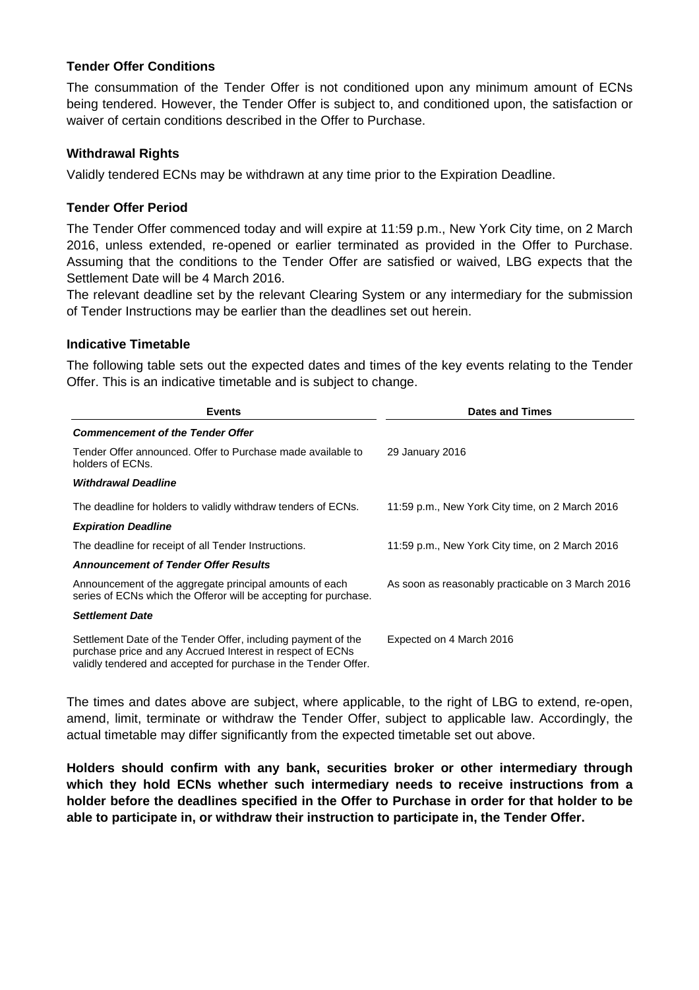### **Tender Offer Conditions**

The consummation of the Tender Offer is not conditioned upon any minimum amount of ECNs being tendered. However, the Tender Offer is subject to, and conditioned upon, the satisfaction or waiver of certain conditions described in the Offer to Purchase.

# **Withdrawal Rights**

Validly tendered ECNs may be withdrawn at any time prior to the Expiration Deadline.

### **Tender Offer Period**

The Tender Offer commenced today and will expire at 11:59 p.m., New York City time, on 2 March 2016, unless extended, re-opened or earlier terminated as provided in the Offer to Purchase. Assuming that the conditions to the Tender Offer are satisfied or waived, LBG expects that the Settlement Date will be 4 March 2016.

The relevant deadline set by the relevant Clearing System or any intermediary for the submission of Tender Instructions may be earlier than the deadlines set out herein.

### **Indicative Timetable**

The following table sets out the expected dates and times of the key events relating to the Tender Offer. This is an indicative timetable and is subject to change.

| <b>Events</b>                                                                                                                                                                                  | <b>Dates and Times</b>                            |  |  |
|------------------------------------------------------------------------------------------------------------------------------------------------------------------------------------------------|---------------------------------------------------|--|--|
| <b>Commencement of the Tender Offer</b>                                                                                                                                                        |                                                   |  |  |
| Tender Offer announced. Offer to Purchase made available to<br>holders of ECNs.                                                                                                                | 29 January 2016                                   |  |  |
| <b>Withdrawal Deadline</b>                                                                                                                                                                     |                                                   |  |  |
| The deadline for holders to validly withdraw tenders of ECNs.                                                                                                                                  | 11:59 p.m., New York City time, on 2 March 2016   |  |  |
| <b>Expiration Deadline</b>                                                                                                                                                                     |                                                   |  |  |
| The deadline for receipt of all Tender Instructions.                                                                                                                                           | 11:59 p.m., New York City time, on 2 March 2016   |  |  |
| <b>Announcement of Tender Offer Results</b>                                                                                                                                                    |                                                   |  |  |
| Announcement of the aggregate principal amounts of each<br>series of ECNs which the Offeror will be accepting for purchase.                                                                    | As soon as reasonably practicable on 3 March 2016 |  |  |
| <b>Settlement Date</b>                                                                                                                                                                         |                                                   |  |  |
| Settlement Date of the Tender Offer, including payment of the<br>purchase price and any Accrued Interest in respect of ECNs<br>validly tendered and accepted for purchase in the Tender Offer. | Expected on 4 March 2016                          |  |  |

The times and dates above are subject, where applicable, to the right of LBG to extend, re-open, amend, limit, terminate or withdraw the Tender Offer, subject to applicable law. Accordingly, the actual timetable may differ significantly from the expected timetable set out above.

**Holders should confirm with any bank, securities broker or other intermediary through which they hold ECNs whether such intermediary needs to receive instructions from a holder before the deadlines specified in the Offer to Purchase in order for that holder to be able to participate in, or withdraw their instruction to participate in, the Tender Offer.**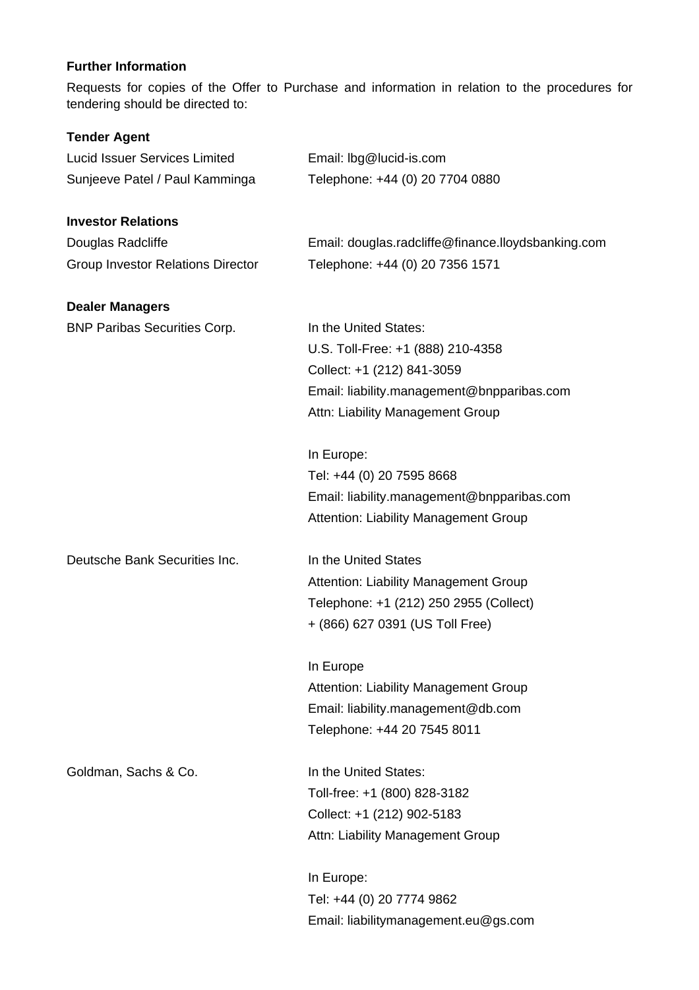# **Further Information**

Requests for copies of the Offer to Purchase and information in relation to the procedures for tendering should be directed to:

| <b>Tender Agent</b>                      |                                                    |
|------------------------------------------|----------------------------------------------------|
| <b>Lucid Issuer Services Limited</b>     | Email: lbg@lucid-is.com                            |
| Sunjeeve Patel / Paul Kamminga           | Telephone: +44 (0) 20 7704 0880                    |
| <b>Investor Relations</b>                |                                                    |
| Douglas Radcliffe                        | Email: douglas.radcliffe@finance.lloydsbanking.com |
| <b>Group Investor Relations Director</b> | Telephone: +44 (0) 20 7356 1571                    |
| <b>Dealer Managers</b>                   |                                                    |
| <b>BNP Paribas Securities Corp.</b>      | In the United States:                              |
|                                          | U.S. Toll-Free: +1 (888) 210-4358                  |
|                                          | Collect: +1 (212) 841-3059                         |
|                                          | Email: liability.management@bnpparibas.com         |
|                                          | Attn: Liability Management Group                   |
|                                          | In Europe:                                         |
|                                          | Tel: +44 (0) 20 7595 8668                          |
|                                          | Email: liability.management@bnpparibas.com         |
|                                          | <b>Attention: Liability Management Group</b>       |
| Deutsche Bank Securities Inc.            | In the United States                               |
|                                          | Attention: Liability Management Group              |
|                                          | Telephone: +1 (212) 250 2955 (Collect)             |
|                                          | + (866) 627 0391 (US Toll Free)                    |
|                                          | In Europe                                          |
|                                          | <b>Attention: Liability Management Group</b>       |
|                                          | Email: liability.management@db.com                 |
|                                          | Telephone: +44 20 7545 8011                        |
| Goldman, Sachs & Co.                     | In the United States:                              |
|                                          | Toll-free: +1 (800) 828-3182                       |
|                                          | Collect: +1 (212) 902-5183                         |
|                                          | Attn: Liability Management Group                   |
|                                          | In Europe:                                         |
|                                          | Tel: +44 (0) 20 7774 9862                          |
|                                          | Email: liabilitymanagement.eu@gs.com               |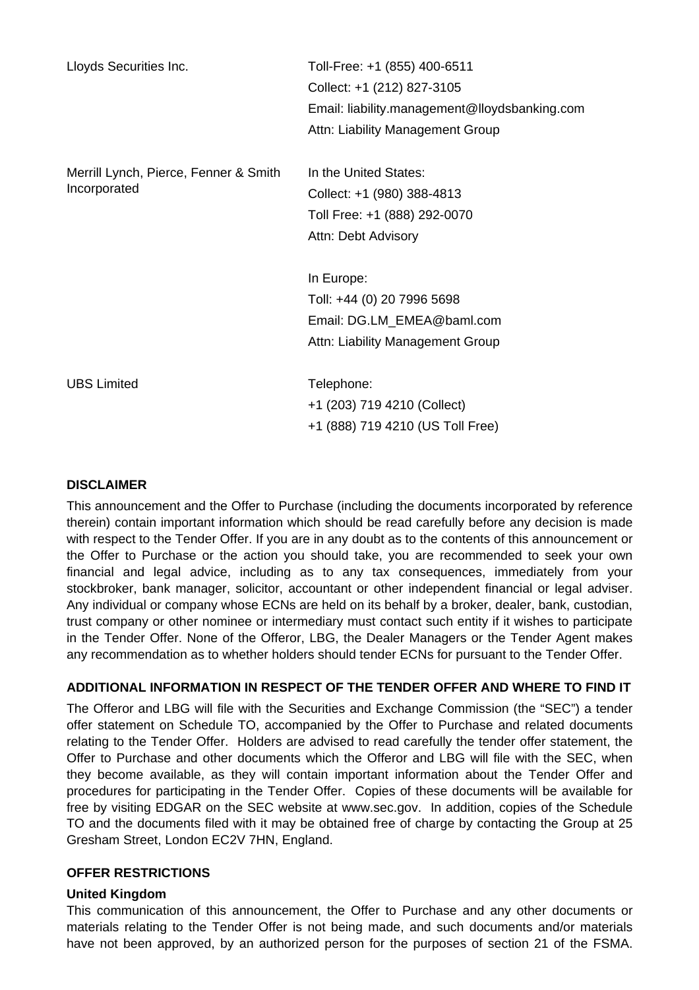| Lloyds Securities Inc.                | Toll-Free: +1 (855) 400-6511                  |  |  |
|---------------------------------------|-----------------------------------------------|--|--|
|                                       | Collect: +1 (212) 827-3105                    |  |  |
|                                       | Email: liability.management@lloydsbanking.com |  |  |
|                                       | Attn: Liability Management Group              |  |  |
| Merrill Lynch, Pierce, Fenner & Smith | In the United States:                         |  |  |
| Incorporated                          | Collect: +1 (980) 388-4813                    |  |  |
|                                       | Toll Free: +1 (888) 292-0070                  |  |  |
|                                       | Attn: Debt Advisory                           |  |  |
|                                       | In Europe:                                    |  |  |
|                                       | Toll: +44 (0) 20 7996 5698                    |  |  |
|                                       | Email: DG.LM_EMEA@baml.com                    |  |  |
|                                       | Attn: Liability Management Group              |  |  |
| <b>UBS Limited</b>                    | Telephone:                                    |  |  |
|                                       | +1 (203) 719 4210 (Collect)                   |  |  |
|                                       | +1 (888) 719 4210 (US Toll Free)              |  |  |

# **DISCLAIMER**

This announcement and the Offer to Purchase (including the documents incorporated by reference therein) contain important information which should be read carefully before any decision is made with respect to the Tender Offer. If you are in any doubt as to the contents of this announcement or the Offer to Purchase or the action you should take, you are recommended to seek your own financial and legal advice, including as to any tax consequences, immediately from your stockbroker, bank manager, solicitor, accountant or other independent financial or legal adviser. Any individual or company whose ECNs are held on its behalf by a broker, dealer, bank, custodian, trust company or other nominee or intermediary must contact such entity if it wishes to participate in the Tender Offer. None of the Offeror, LBG, the Dealer Managers or the Tender Agent makes any recommendation as to whether holders should tender ECNs for pursuant to the Tender Offer.

# **ADDITIONAL INFORMATION IN RESPECT OF THE TENDER OFFER AND WHERE TO FIND IT**

The Offeror and LBG will file with the Securities and Exchange Commission (the "SEC") a tender offer statement on Schedule TO, accompanied by the Offer to Purchase and related documents relating to the Tender Offer. Holders are advised to read carefully the tender offer statement, the Offer to Purchase and other documents which the Offeror and LBG will file with the SEC, when they become available, as they will contain important information about the Tender Offer and procedures for participating in the Tender Offer. Copies of these documents will be available for free by visiting EDGAR on the SEC website at www.sec.gov. In addition, copies of the Schedule TO and the documents filed with it may be obtained free of charge by contacting the Group at 25 Gresham Street, London EC2V 7HN, England.

# **OFFER RESTRICTIONS**

# **United Kingdom**

This communication of this announcement, the Offer to Purchase and any other documents or materials relating to the Tender Offer is not being made, and such documents and/or materials have not been approved, by an authorized person for the purposes of section 21 of the FSMA.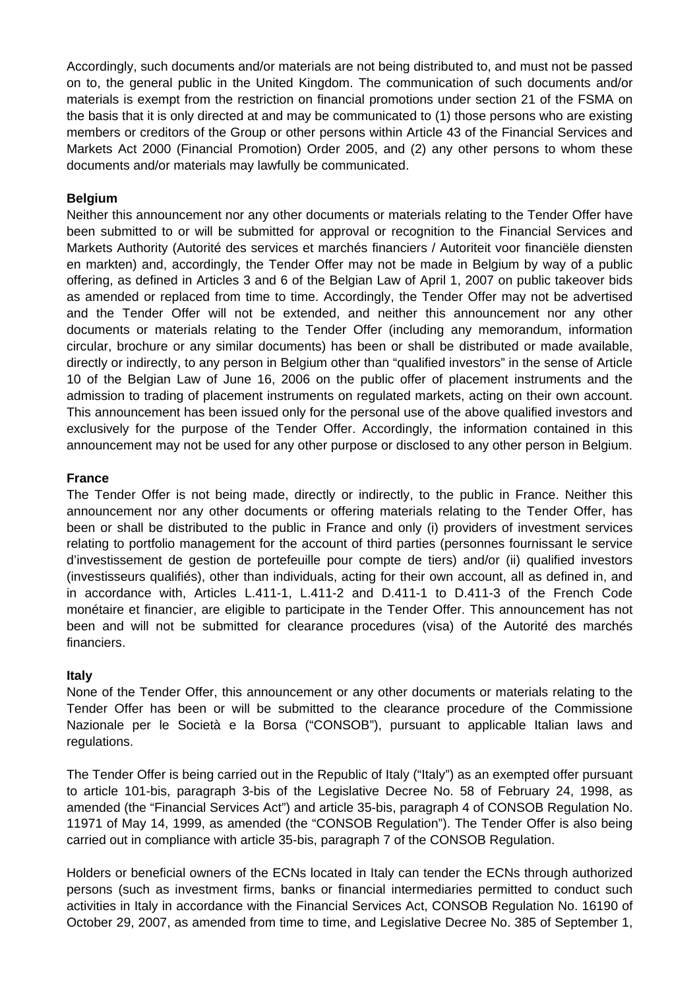Accordingly, such documents and/or materials are not being distributed to, and must not be passed on to, the general public in the United Kingdom. The communication of such documents and/or materials is exempt from the restriction on financial promotions under section 21 of the FSMA on the basis that it is only directed at and may be communicated to (1) those persons who are existing members or creditors of the Group or other persons within Article 43 of the Financial Services and Markets Act 2000 (Financial Promotion) Order 2005, and (2) any other persons to whom these documents and/or materials may lawfully be communicated.

# **Belgium**

Neither this announcement nor any other documents or materials relating to the Tender Offer have been submitted to or will be submitted for approval or recognition to the Financial Services and Markets Authority (Autorité des services et marchés financiers / Autoriteit voor financiële diensten en markten) and, accordingly, the Tender Offer may not be made in Belgium by way of a public offering, as defined in Articles 3 and 6 of the Belgian Law of April 1, 2007 on public takeover bids as amended or replaced from time to time. Accordingly, the Tender Offer may not be advertised and the Tender Offer will not be extended, and neither this announcement nor any other documents or materials relating to the Tender Offer (including any memorandum, information circular, brochure or any similar documents) has been or shall be distributed or made available, directly or indirectly, to any person in Belgium other than "qualified investors" in the sense of Article 10 of the Belgian Law of June 16, 2006 on the public offer of placement instruments and the admission to trading of placement instruments on regulated markets, acting on their own account. This announcement has been issued only for the personal use of the above qualified investors and exclusively for the purpose of the Tender Offer. Accordingly, the information contained in this announcement may not be used for any other purpose or disclosed to any other person in Belgium.

### **France**

The Tender Offer is not being made, directly or indirectly, to the public in France. Neither this announcement nor any other documents or offering materials relating to the Tender Offer, has been or shall be distributed to the public in France and only (i) providers of investment services relating to portfolio management for the account of third parties (personnes fournissant le service d'investissement de gestion de portefeuille pour compte de tiers) and/or (ii) qualified investors (investisseurs qualifiés), other than individuals, acting for their own account, all as defined in, and in accordance with, Articles L.411-1, L.411-2 and D.411-1 to D.411-3 of the French Code monétaire et financier, are eligible to participate in the Tender Offer. This announcement has not been and will not be submitted for clearance procedures (visa) of the Autorité des marchés financiers.

#### **Italy**

None of the Tender Offer, this announcement or any other documents or materials relating to the Tender Offer has been or will be submitted to the clearance procedure of the Commissione Nazionale per le Società e la Borsa ("CONSOB"), pursuant to applicable Italian laws and regulations.

The Tender Offer is being carried out in the Republic of Italy ("Italy") as an exempted offer pursuant to article 101-bis, paragraph 3-bis of the Legislative Decree No. 58 of February 24, 1998, as amended (the "Financial Services Act") and article 35-bis, paragraph 4 of CONSOB Regulation No. 11971 of May 14, 1999, as amended (the "CONSOB Regulation"). The Tender Offer is also being carried out in compliance with article 35-bis, paragraph 7 of the CONSOB Regulation.

Holders or beneficial owners of the ECNs located in Italy can tender the ECNs through authorized persons (such as investment firms, banks or financial intermediaries permitted to conduct such activities in Italy in accordance with the Financial Services Act, CONSOB Regulation No. 16190 of October 29, 2007, as amended from time to time, and Legislative Decree No. 385 of September 1,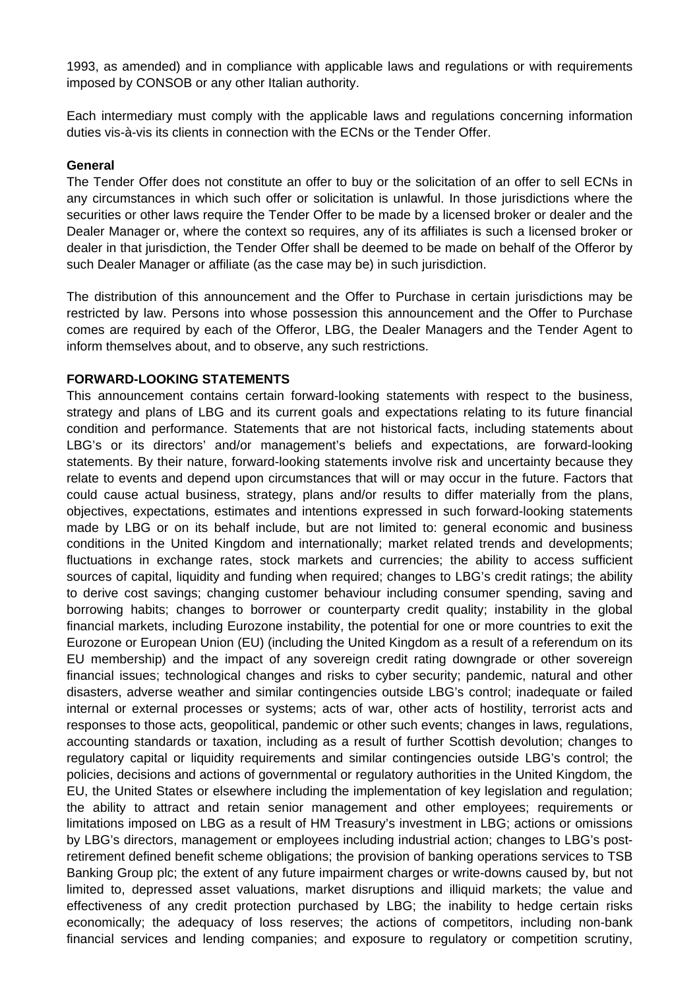1993, as amended) and in compliance with applicable laws and regulations or with requirements imposed by CONSOB or any other Italian authority.

Each intermediary must comply with the applicable laws and regulations concerning information duties vis-à-vis its clients in connection with the ECNs or the Tender Offer.

#### **General**

The Tender Offer does not constitute an offer to buy or the solicitation of an offer to sell ECNs in any circumstances in which such offer or solicitation is unlawful. In those jurisdictions where the securities or other laws require the Tender Offer to be made by a licensed broker or dealer and the Dealer Manager or, where the context so requires, any of its affiliates is such a licensed broker or dealer in that jurisdiction, the Tender Offer shall be deemed to be made on behalf of the Offeror by such Dealer Manager or affiliate (as the case may be) in such jurisdiction.

The distribution of this announcement and the Offer to Purchase in certain jurisdictions may be restricted by law. Persons into whose possession this announcement and the Offer to Purchase comes are required by each of the Offeror, LBG, the Dealer Managers and the Tender Agent to inform themselves about, and to observe, any such restrictions.

### **FORWARD-LOOKING STATEMENTS**

This announcement contains certain forward-looking statements with respect to the business, strategy and plans of LBG and its current goals and expectations relating to its future financial condition and performance. Statements that are not historical facts, including statements about LBG's or its directors' and/or management's beliefs and expectations, are forward-looking statements. By their nature, forward-looking statements involve risk and uncertainty because they relate to events and depend upon circumstances that will or may occur in the future. Factors that could cause actual business, strategy, plans and/or results to differ materially from the plans, objectives, expectations, estimates and intentions expressed in such forward-looking statements made by LBG or on its behalf include, but are not limited to: general economic and business conditions in the United Kingdom and internationally; market related trends and developments; fluctuations in exchange rates, stock markets and currencies; the ability to access sufficient sources of capital, liquidity and funding when required; changes to LBG's credit ratings; the ability to derive cost savings; changing customer behaviour including consumer spending, saving and borrowing habits; changes to borrower or counterparty credit quality; instability in the global financial markets, including Eurozone instability, the potential for one or more countries to exit the Eurozone or European Union (EU) (including the United Kingdom as a result of a referendum on its EU membership) and the impact of any sovereign credit rating downgrade or other sovereign financial issues; technological changes and risks to cyber security; pandemic, natural and other disasters, adverse weather and similar contingencies outside LBG's control; inadequate or failed internal or external processes or systems; acts of war, other acts of hostility, terrorist acts and responses to those acts, geopolitical, pandemic or other such events; changes in laws, regulations, accounting standards or taxation, including as a result of further Scottish devolution; changes to regulatory capital or liquidity requirements and similar contingencies outside LBG's control; the policies, decisions and actions of governmental or regulatory authorities in the United Kingdom, the EU, the United States or elsewhere including the implementation of key legislation and regulation; the ability to attract and retain senior management and other employees; requirements or limitations imposed on LBG as a result of HM Treasury's investment in LBG; actions or omissions by LBG's directors, management or employees including industrial action; changes to LBG's postretirement defined benefit scheme obligations; the provision of banking operations services to TSB Banking Group plc; the extent of any future impairment charges or write-downs caused by, but not limited to, depressed asset valuations, market disruptions and illiquid markets; the value and effectiveness of any credit protection purchased by LBG; the inability to hedge certain risks economically; the adequacy of loss reserves; the actions of competitors, including non-bank financial services and lending companies; and exposure to regulatory or competition scrutiny,